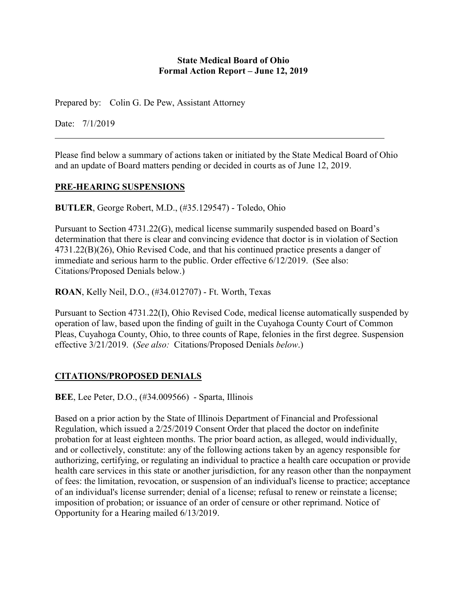#### **State Medical Board of Ohio Formal Action Report – June 12, 2019**

Prepared by: Colin G. De Pew, Assistant Attorney

Date: 7/1/2019

Please find below a summary of actions taken or initiated by the State Medical Board of Ohio and an update of Board matters pending or decided in courts as of June 12, 2019.

### **PRE-HEARING SUSPENSIONS**

**BUTLER**, George Robert, M.D., (#35.129547) - Toledo, Ohio

Pursuant to Section 4731.22(G), medical license summarily suspended based on Board's determination that there is clear and convincing evidence that doctor is in violation of Section 4731.22(B)(26), Ohio Revised Code, and that his continued practice presents a danger of immediate and serious harm to the public. Order effective 6/12/2019. (See also: Citations/Proposed Denials below.)

**ROAN**, Kelly Neil, D.O., (#34.012707) - Ft. Worth, Texas

Pursuant to Section 4731.22(I), Ohio Revised Code, medical license automatically suspended by operation of law, based upon the finding of guilt in the Cuyahoga County Court of Common Pleas, Cuyahoga County, Ohio, to three counts of Rape, felonies in the first degree. Suspension effective 3/21/2019. (*See also:* Citations/Proposed Denials *below*.)

# **CITATIONS/PROPOSED DENIALS**

**BEE**, Lee Peter, D.O., (#34.009566) - Sparta, Illinois

Based on a prior action by the State of Illinois Department of Financial and Professional Regulation, which issued a 2/25/2019 Consent Order that placed the doctor on indefinite probation for at least eighteen months. The prior board action, as alleged, would individually, and or collectively, constitute: any of the following actions taken by an agency responsible for authorizing, certifying, or regulating an individual to practice a health care occupation or provide health care services in this state or another jurisdiction, for any reason other than the nonpayment of fees: the limitation, revocation, or suspension of an individual's license to practice; acceptance of an individual's license surrender; denial of a license; refusal to renew or reinstate a license; imposition of probation; or issuance of an order of censure or other reprimand. Notice of Opportunity for a Hearing mailed 6/13/2019.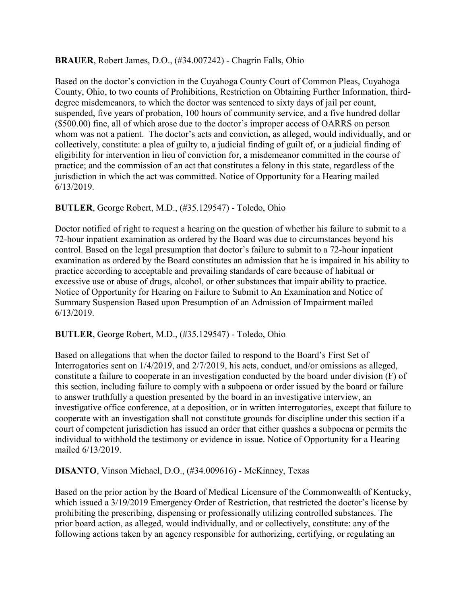### **BRAUER**, Robert James, D.O., (#34.007242) - Chagrin Falls, Ohio

Based on the doctor's conviction in the Cuyahoga County Court of Common Pleas, Cuyahoga County, Ohio, to two counts of Prohibitions, Restriction on Obtaining Further Information, thirddegree misdemeanors, to which the doctor was sentenced to sixty days of jail per count, suspended, five years of probation, 100 hours of community service, and a five hundred dollar (\$500.00) fine, all of which arose due to the doctor's improper access of OARRS on person whom was not a patient. The doctor's acts and conviction, as alleged, would individually, and or collectively, constitute: a plea of guilty to, a judicial finding of guilt of, or a judicial finding of eligibility for intervention in lieu of conviction for, a misdemeanor committed in the course of practice; and the commission of an act that constitutes a felony in this state, regardless of the jurisdiction in which the act was committed. Notice of Opportunity for a Hearing mailed 6/13/2019.

## **BUTLER**, George Robert, M.D., (#35.129547) - Toledo, Ohio

Doctor notified of right to request a hearing on the question of whether his failure to submit to a 72-hour inpatient examination as ordered by the Board was due to circumstances beyond his control. Based on the legal presumption that doctor's failure to submit to a 72-hour inpatient examination as ordered by the Board constitutes an admission that he is impaired in his ability to practice according to acceptable and prevailing standards of care because of habitual or excessive use or abuse of drugs, alcohol, or other substances that impair ability to practice. Notice of Opportunity for Hearing on Failure to Submit to An Examination and Notice of Summary Suspension Based upon Presumption of an Admission of Impairment mailed 6/13/2019.

### **BUTLER**, George Robert, M.D., (#35.129547) - Toledo, Ohio

Based on allegations that when the doctor failed to respond to the Board's First Set of Interrogatories sent on 1/4/2019, and 2/7/2019, his acts, conduct, and/or omissions as alleged, constitute a failure to cooperate in an investigation conducted by the board under division (F) of this section, including failure to comply with a subpoena or order issued by the board or failure to answer truthfully a question presented by the board in an investigative interview, an investigative office conference, at a deposition, or in written interrogatories, except that failure to cooperate with an investigation shall not constitute grounds for discipline under this section if a court of competent jurisdiction has issued an order that either quashes a subpoena or permits the individual to withhold the testimony or evidence in issue. Notice of Opportunity for a Hearing mailed 6/13/2019.

### **DISANTO**, Vinson Michael, D.O., (#34.009616) - McKinney, Texas

Based on the prior action by the Board of Medical Licensure of the Commonwealth of Kentucky, which issued a 3/19/2019 Emergency Order of Restriction, that restricted the doctor's license by prohibiting the prescribing, dispensing or professionally utilizing controlled substances. The prior board action, as alleged, would individually, and or collectively, constitute: any of the following actions taken by an agency responsible for authorizing, certifying, or regulating an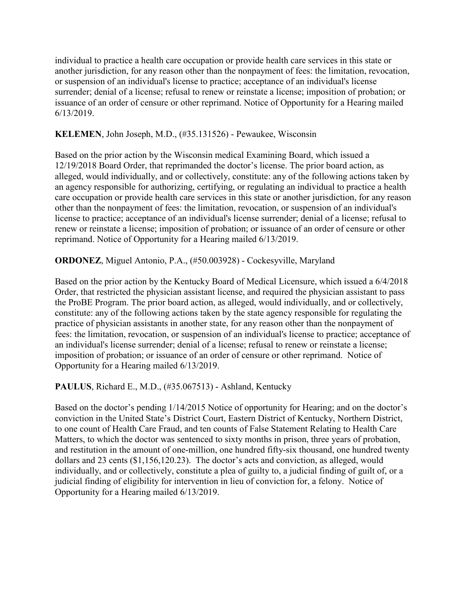individual to practice a health care occupation or provide health care services in this state or another jurisdiction, for any reason other than the nonpayment of fees: the limitation, revocation, or suspension of an individual's license to practice; acceptance of an individual's license surrender; denial of a license; refusal to renew or reinstate a license; imposition of probation; or issuance of an order of censure or other reprimand. Notice of Opportunity for a Hearing mailed 6/13/2019.

#### **KELEMEN**, John Joseph, M.D., (#35.131526) - Pewaukee, Wisconsin

Based on the prior action by the Wisconsin medical Examining Board, which issued a 12/19/2018 Board Order, that reprimanded the doctor's license. The prior board action, as alleged, would individually, and or collectively, constitute: any of the following actions taken by an agency responsible for authorizing, certifying, or regulating an individual to practice a health care occupation or provide health care services in this state or another jurisdiction, for any reason other than the nonpayment of fees: the limitation, revocation, or suspension of an individual's license to practice; acceptance of an individual's license surrender; denial of a license; refusal to renew or reinstate a license; imposition of probation; or issuance of an order of censure or other reprimand. Notice of Opportunity for a Hearing mailed 6/13/2019.

### **ORDONEZ**, Miguel Antonio, P.A., (#50.003928) - Cockesyville, Maryland

Based on the prior action by the Kentucky Board of Medical Licensure, which issued a 6/4/2018 Order, that restricted the physician assistant license, and required the physician assistant to pass the ProBE Program. The prior board action, as alleged, would individually, and or collectively, constitute: any of the following actions taken by the state agency responsible for regulating the practice of physician assistants in another state, for any reason other than the nonpayment of fees: the limitation, revocation, or suspension of an individual's license to practice; acceptance of an individual's license surrender; denial of a license; refusal to renew or reinstate a license; imposition of probation; or issuance of an order of censure or other reprimand. Notice of Opportunity for a Hearing mailed 6/13/2019.

**PAULUS**, Richard E., M.D., (#35.067513) - Ashland, Kentucky

Based on the doctor's pending 1/14/2015 Notice of opportunity for Hearing; and on the doctor's conviction in the United State's District Court, Eastern District of Kentucky, Northern District, to one count of Health Care Fraud, and ten counts of False Statement Relating to Health Care Matters, to which the doctor was sentenced to sixty months in prison, three years of probation, and restitution in the amount of one-million, one hundred fifty-six thousand, one hundred twenty dollars and 23 cents (\$1,156,120.23). The doctor's acts and conviction, as alleged, would individually, and or collectively, constitute a plea of guilty to, a judicial finding of guilt of, or a judicial finding of eligibility for intervention in lieu of conviction for, a felony. Notice of Opportunity for a Hearing mailed 6/13/2019.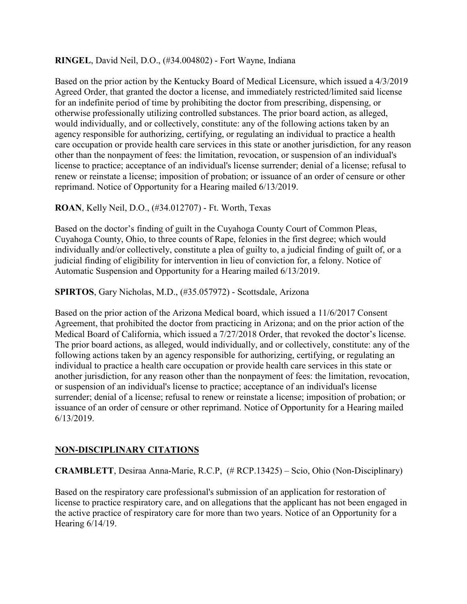#### **RINGEL**, David Neil, D.O., (#34.004802) - Fort Wayne, Indiana

Based on the prior action by the Kentucky Board of Medical Licensure, which issued a 4/3/2019 Agreed Order, that granted the doctor a license, and immediately restricted/limited said license for an indefinite period of time by prohibiting the doctor from prescribing, dispensing, or otherwise professionally utilizing controlled substances. The prior board action, as alleged, would individually, and or collectively, constitute: any of the following actions taken by an agency responsible for authorizing, certifying, or regulating an individual to practice a health care occupation or provide health care services in this state or another jurisdiction, for any reason other than the nonpayment of fees: the limitation, revocation, or suspension of an individual's license to practice; acceptance of an individual's license surrender; denial of a license; refusal to renew or reinstate a license; imposition of probation; or issuance of an order of censure or other reprimand. Notice of Opportunity for a Hearing mailed 6/13/2019.

**ROAN**, Kelly Neil, D.O., (#34.012707) - Ft. Worth, Texas

Based on the doctor's finding of guilt in the Cuyahoga County Court of Common Pleas, Cuyahoga County, Ohio, to three counts of Rape, felonies in the first degree; which would individually and/or collectively, constitute a plea of guilty to, a judicial finding of guilt of, or a judicial finding of eligibility for intervention in lieu of conviction for, a felony. Notice of Automatic Suspension and Opportunity for a Hearing mailed 6/13/2019.

**SPIRTOS**, Gary Nicholas, M.D., (#35.057972) - Scottsdale, Arizona

Based on the prior action of the Arizona Medical board, which issued a 11/6/2017 Consent Agreement, that prohibited the doctor from practicing in Arizona; and on the prior action of the Medical Board of California, which issued a 7/27/2018 Order, that revoked the doctor's license. The prior board actions, as alleged, would individually, and or collectively, constitute: any of the following actions taken by an agency responsible for authorizing, certifying, or regulating an individual to practice a health care occupation or provide health care services in this state or another jurisdiction, for any reason other than the nonpayment of fees: the limitation, revocation, or suspension of an individual's license to practice; acceptance of an individual's license surrender; denial of a license; refusal to renew or reinstate a license; imposition of probation; or issuance of an order of censure or other reprimand. Notice of Opportunity for a Hearing mailed 6/13/2019.

### **NON-DISCIPLINARY CITATIONS**

### **CRAMBLETT**, Desiraa Anna-Marie, R.C.P, (# RCP.13425) – Scio, Ohio (Non-Disciplinary)

Based on the respiratory care professional's submission of an application for restoration of license to practice respiratory care, and on allegations that the applicant has not been engaged in the active practice of respiratory care for more than two years. Notice of an Opportunity for a Hearing 6/14/19.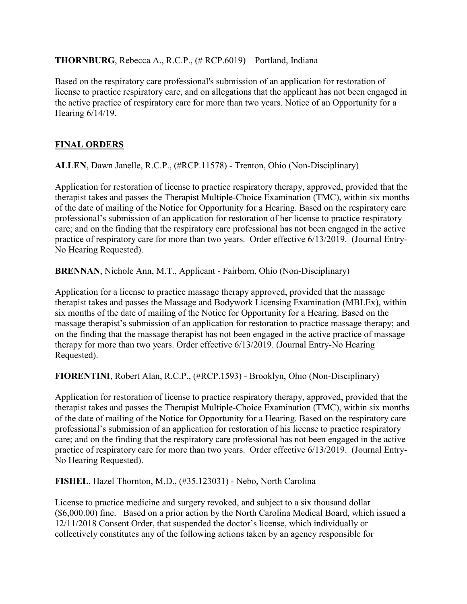### **THORNBURG**, Rebecca A., R.C.P., (# RCP.6019) – Portland, Indiana

Based on the respiratory care professional's submission of an application for restoration of license to practice respiratory care, and on allegations that the applicant has not been engaged in the active practice of respiratory care for more than two years. Notice of an Opportunity for a Hearing 6/14/19.

# **FINAL ORDERS**

**ALLEN**, Dawn Janelle, R.C.P., (#RCP.11578) - Trenton, Ohio (Non-Disciplinary)

Application for restoration of license to practice respiratory therapy, approved, provided that the therapist takes and passes the Therapist Multiple-Choice Examination (TMC), within six months of the date of mailing of the Notice for Opportunity for a Hearing. Based on the respiratory care professional's submission of an application for restoration of her license to practice respiratory care; and on the finding that the respiratory care professional has not been engaged in the active practice of respiratory care for more than two years. Order effective 6/13/2019. (Journal Entry-No Hearing Requested).

**BRENNAN**, Nichole Ann, M.T., Applicant - Fairborn, Ohio (Non-Disciplinary)

Application for a license to practice massage therapy approved, provided that the massage therapist takes and passes the Massage and Bodywork Licensing Examination (MBLEx), within six months of the date of mailing of the Notice for Opportunity for a Hearing. Based on the massage therapist's submission of an application for restoration to practice massage therapy; and on the finding that the massage therapist has not been engaged in the active practice of massage therapy for more than two years. Order effective 6/13/2019. (Journal Entry-No Hearing Requested).

**FIORENTINI**, Robert Alan, R.C.P., (#RCP.1593) - Brooklyn, Ohio (Non-Disciplinary)

Application for restoration of license to practice respiratory therapy, approved, provided that the therapist takes and passes the Therapist Multiple-Choice Examination (TMC), within six months of the date of mailing of the Notice for Opportunity for a Hearing. Based on the respiratory care professional's submission of an application for restoration of his license to practice respiratory care; and on the finding that the respiratory care professional has not been engaged in the active practice of respiratory care for more than two years. Order effective 6/13/2019. (Journal Entry-No Hearing Requested).

**FISHEL**, Hazel Thornton, M.D., (#35.123031) - Nebo, North Carolina

License to practice medicine and surgery revoked, and subject to a six thousand dollar (\$6,000.00) fine. Based on a prior action by the North Carolina Medical Board, which issued a 12/11/2018 Consent Order, that suspended the doctor's license, which individually or collectively constitutes any of the following actions taken by an agency responsible for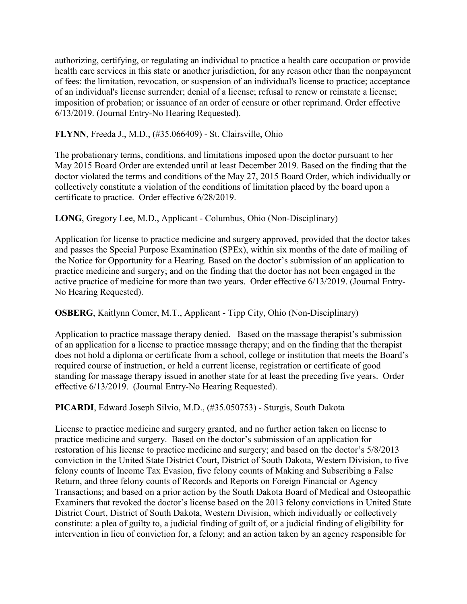authorizing, certifying, or regulating an individual to practice a health care occupation or provide health care services in this state or another jurisdiction, for any reason other than the nonpayment of fees: the limitation, revocation, or suspension of an individual's license to practice; acceptance of an individual's license surrender; denial of a license; refusal to renew or reinstate a license; imposition of probation; or issuance of an order of censure or other reprimand. Order effective 6/13/2019. (Journal Entry-No Hearing Requested).

**FLYNN**, Freeda J., M.D., (#35.066409) - St. Clairsville, Ohio

The probationary terms, conditions, and limitations imposed upon the doctor pursuant to her May 2015 Board Order are extended until at least December 2019. Based on the finding that the doctor violated the terms and conditions of the May 27, 2015 Board Order, which individually or collectively constitute a violation of the conditions of limitation placed by the board upon a certificate to practice. Order effective 6/28/2019.

**LONG**, Gregory Lee, M.D., Applicant - Columbus, Ohio (Non-Disciplinary)

Application for license to practice medicine and surgery approved, provided that the doctor takes and passes the Special Purpose Examination (SPEx), within six months of the date of mailing of the Notice for Opportunity for a Hearing. Based on the doctor's submission of an application to practice medicine and surgery; and on the finding that the doctor has not been engaged in the active practice of medicine for more than two years. Order effective 6/13/2019. (Journal Entry-No Hearing Requested).

**OSBERG**, Kaitlynn Comer, M.T., Applicant - Tipp City, Ohio (Non-Disciplinary)

Application to practice massage therapy denied. Based on the massage therapist's submission of an application for a license to practice massage therapy; and on the finding that the therapist does not hold a diploma or certificate from a school, college or institution that meets the Board's required course of instruction, or held a current license, registration or certificate of good standing for massage therapy issued in another state for at least the preceding five years. Order effective 6/13/2019. (Journal Entry-No Hearing Requested).

**PICARDI**, Edward Joseph Silvio, M.D., (#35.050753) - Sturgis, South Dakota

License to practice medicine and surgery granted, and no further action taken on license to practice medicine and surgery. Based on the doctor's submission of an application for restoration of his license to practice medicine and surgery; and based on the doctor's 5/8/2013 conviction in the United State District Court, District of South Dakota, Western Division, to five felony counts of Income Tax Evasion, five felony counts of Making and Subscribing a False Return, and three felony counts of Records and Reports on Foreign Financial or Agency Transactions; and based on a prior action by the South Dakota Board of Medical and Osteopathic Examiners that revoked the doctor's license based on the 2013 felony convictions in United State District Court, District of South Dakota, Western Division, which individually or collectively constitute: a plea of guilty to, a judicial finding of guilt of, or a judicial finding of eligibility for intervention in lieu of conviction for, a felony; and an action taken by an agency responsible for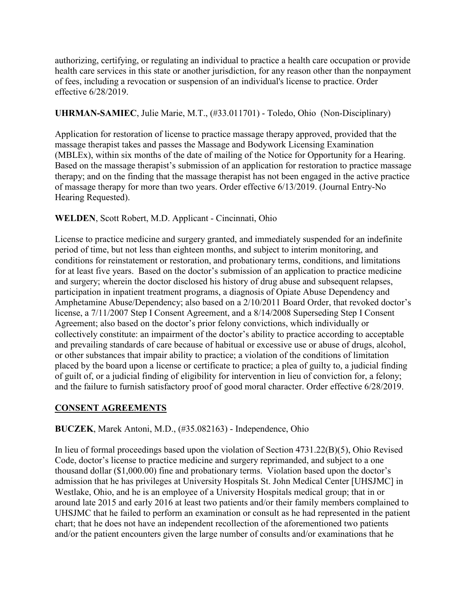authorizing, certifying, or regulating an individual to practice a health care occupation or provide health care services in this state or another jurisdiction, for any reason other than the nonpayment of fees, including a revocation or suspension of an individual's license to practice. Order effective 6/28/2019.

### **UHRMAN-SAMIEC**, Julie Marie, M.T., (#33.011701) - Toledo, Ohio (Non-Disciplinary)

Application for restoration of license to practice massage therapy approved, provided that the massage therapist takes and passes the Massage and Bodywork Licensing Examination (MBLEx), within six months of the date of mailing of the Notice for Opportunity for a Hearing. Based on the massage therapist's submission of an application for restoration to practice massage therapy; and on the finding that the massage therapist has not been engaged in the active practice of massage therapy for more than two years. Order effective 6/13/2019. (Journal Entry-No Hearing Requested).

## **WELDEN**, Scott Robert, M.D. Applicant - Cincinnati, Ohio

License to practice medicine and surgery granted, and immediately suspended for an indefinite period of time, but not less than eighteen months, and subject to interim monitoring, and conditions for reinstatement or restoration, and probationary terms, conditions, and limitations for at least five years. Based on the doctor's submission of an application to practice medicine and surgery; wherein the doctor disclosed his history of drug abuse and subsequent relapses, participation in inpatient treatment programs, a diagnosis of Opiate Abuse Dependency and Amphetamine Abuse/Dependency; also based on a 2/10/2011 Board Order, that revoked doctor's license, a 7/11/2007 Step I Consent Agreement, and a 8/14/2008 Superseding Step I Consent Agreement; also based on the doctor's prior felony convictions, which individually or collectively constitute: an impairment of the doctor's ability to practice according to acceptable and prevailing standards of care because of habitual or excessive use or abuse of drugs, alcohol, or other substances that impair ability to practice; a violation of the conditions of limitation placed by the board upon a license or certificate to practice; a plea of guilty to, a judicial finding of guilt of, or a judicial finding of eligibility for intervention in lieu of conviction for, a felony; and the failure to furnish satisfactory proof of good moral character. Order effective 6/28/2019.

# **CONSENT AGREEMENTS**

### **BUCZEK**, Marek Antoni, M.D., (#35.082163) - Independence, Ohio

In lieu of formal proceedings based upon the violation of Section 4731.22(B)(5), Ohio Revised Code, doctor's license to practice medicine and surgery reprimanded, and subject to a one thousand dollar (\$1,000.00) fine and probationary terms. Violation based upon the doctor's admission that he has privileges at University Hospitals St. John Medical Center [UHSJMC] in Westlake, Ohio, and he is an employee of a University Hospitals medical group; that in or around late 2015 and early 2016 at least two patients and/or their family members complained to UHSJMC that he failed to perform an examination or consult as he had represented in the patient chart; that he does not have an independent recollection of the aforementioned two patients and/or the patient encounters given the large number of consults and/or examinations that he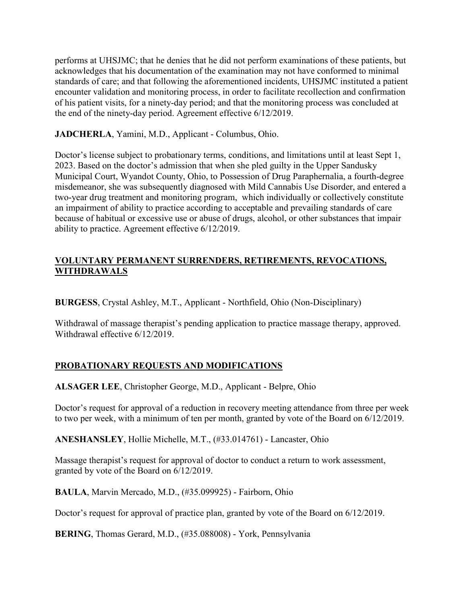performs at UHSJMC; that he denies that he did not perform examinations of these patients, but acknowledges that his documentation of the examination may not have conformed to minimal standards of care; and that following the aforementioned incidents, UHSJMC instituted a patient encounter validation and monitoring process, in order to facilitate recollection and confirmation of his patient visits, for a ninety-day period; and that the monitoring process was concluded at the end of the ninety-day period. Agreement effective 6/12/2019.

**JADCHERLA**, Yamini, M.D., Applicant - Columbus, Ohio.

Doctor's license subject to probationary terms, conditions, and limitations until at least Sept 1, 2023. Based on the doctor's admission that when she pled guilty in the Upper Sandusky Municipal Court, Wyandot County, Ohio, to Possession of Drug Paraphernalia, a fourth-degree misdemeanor, she was subsequently diagnosed with Mild Cannabis Use Disorder, and entered a two-year drug treatment and monitoring program, which individually or collectively constitute an impairment of ability to practice according to acceptable and prevailing standards of care because of habitual or excessive use or abuse of drugs, alcohol, or other substances that impair ability to practice. Agreement effective 6/12/2019.

## **VOLUNTARY PERMANENT SURRENDERS, RETIREMENTS, REVOCATIONS, WITHDRAWALS**

**BURGESS**, Crystal Ashley, M.T., Applicant - Northfield, Ohio (Non-Disciplinary)

Withdrawal of massage therapist's pending application to practice massage therapy, approved. Withdrawal effective 6/12/2019.

# **PROBATIONARY REQUESTS AND MODIFICATIONS**

**ALSAGER LEE**, Christopher George, M.D., Applicant - Belpre, Ohio

Doctor's request for approval of a reduction in recovery meeting attendance from three per week to two per week, with a minimum of ten per month, granted by vote of the Board on 6/12/2019.

**ANESHANSLEY**, Hollie Michelle, M.T., (#33.014761) - Lancaster, Ohio

Massage therapist's request for approval of doctor to conduct a return to work assessment, granted by vote of the Board on 6/12/2019.

**BAULA**, Marvin Mercado, M.D., (#35.099925) - Fairborn, Ohio

Doctor's request for approval of practice plan, granted by vote of the Board on 6/12/2019.

**BERING**, Thomas Gerard, M.D., (#35.088008) - York, Pennsylvania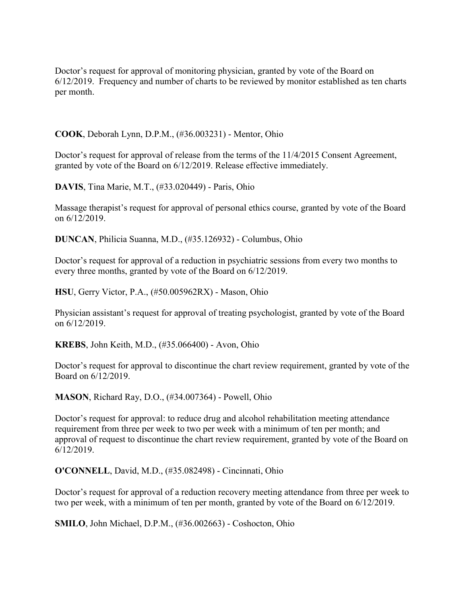Doctor's request for approval of monitoring physician, granted by vote of the Board on 6/12/2019. Frequency and number of charts to be reviewed by monitor established as ten charts per month.

**COOK**, Deborah Lynn, D.P.M., (#36.003231) - Mentor, Ohio

Doctor's request for approval of release from the terms of the 11/4/2015 Consent Agreement, granted by vote of the Board on 6/12/2019. Release effective immediately.

**DAVIS**, Tina Marie, M.T., (#33.020449) - Paris, Ohio

Massage therapist's request for approval of personal ethics course, granted by vote of the Board on 6/12/2019.

**DUNCAN**, Philicia Suanna, M.D., (#35.126932) - Columbus, Ohio

Doctor's request for approval of a reduction in psychiatric sessions from every two months to every three months, granted by vote of the Board on 6/12/2019.

**HSU**, Gerry Victor, P.A., (#50.005962RX) - Mason, Ohio

Physician assistant's request for approval of treating psychologist, granted by vote of the Board on 6/12/2019.

**KREBS**, John Keith, M.D., (#35.066400) - Avon, Ohio

Doctor's request for approval to discontinue the chart review requirement, granted by vote of the Board on 6/12/2019.

**MASON**, Richard Ray, D.O., (#34.007364) - Powell, Ohio

Doctor's request for approval: to reduce drug and alcohol rehabilitation meeting attendance requirement from three per week to two per week with a minimum of ten per month; and approval of request to discontinue the chart review requirement, granted by vote of the Board on 6/12/2019.

**O'CONNELL**, David, M.D., (#35.082498) - Cincinnati, Ohio

Doctor's request for approval of a reduction recovery meeting attendance from three per week to two per week, with a minimum of ten per month, granted by vote of the Board on 6/12/2019.

**SMILO**, John Michael, D.P.M., (#36.002663) - Coshocton, Ohio